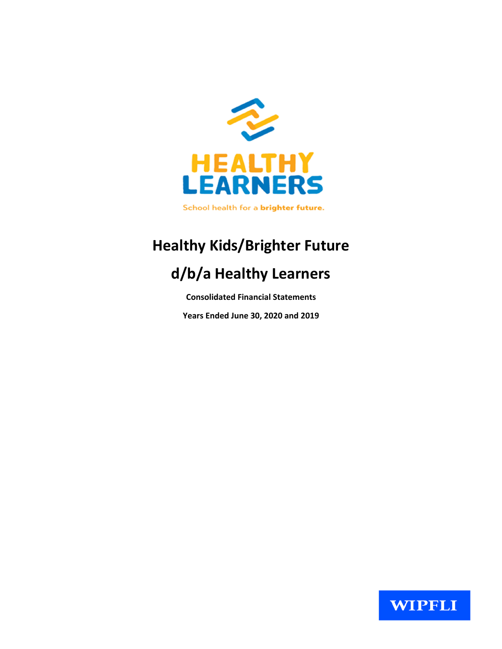

# **Healthy Kids/Brighter Future**

# d/b/a Healthy Learners

**Consolidated Financial Statements** 

Years Ended June 30, 2020 and 2019

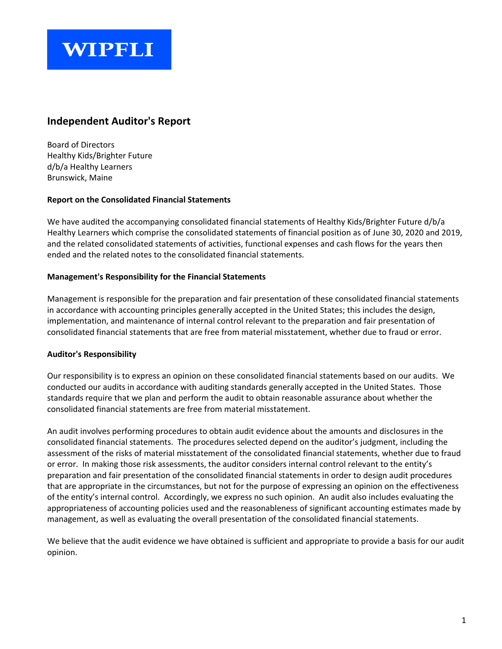# **WIPFLI**

# **Independent Auditor's Report**

Board of Directors Healthy Kids/Brighter Future d/b/a Healthy Learners Brunswick, Maine

#### **Report on the Consolidated Financial Statements**

We have audited the accompanying consolidated financial statements of Healthy Kids/Brighter Future d/b/a Healthy Learners which comprise the consolidated statements of financial position as of June 30, 2020 and 2019, and the related consolidated statements of activities, functional expenses and cash flows for the years then ended and the related notes to the consolidated financial statements.

#### **Management's Responsibility for the Financial Statements**

Management is responsible for the preparation and fair presentation of these consolidated financial statements in accordance with accounting principles generally accepted in the United States; this includes the design, implementation, and maintenance of internal control relevant to the preparation and fair presentation of consolidated financial statements that are free from material misstatement, whether due to fraud or error.

#### **Auditor's Responsibility**

Our responsibility is to express an opinion on these consolidated financial statements based on our audits. We conducted our audits in accordance with auditing standards generally accepted in the United States. Those standards require that we plan and perform the audit to obtain reasonable assurance about whether the consolidated financial statements are free from material misstatement.

An audit involves performing procedures to obtain audit evidence about the amounts and disclosures in the consolidated financial statements. The procedures selected depend on the auditor's judgment, including the assessment of the risks of material misstatement of the consolidated financial statements, whether due to fraud or error. In making those risk assessments, the auditor considers internal control relevant to the entity's preparation and fair presentation of the consolidated financial statements in order to design audit procedures that are appropriate in the circumstances, but not for the purpose of expressing an opinion on the effectiveness of the entity's internal control. Accordingly, we express no such opinion. An audit also includes evaluating the appropriateness of accounting policies used and the reasonableness of significant accounting estimates made by management, as well as evaluating the overall presentation of the consolidated financial statements.

We believe that the audit evidence we have obtained is sufficient and appropriate to provide a basis for our audit opinion.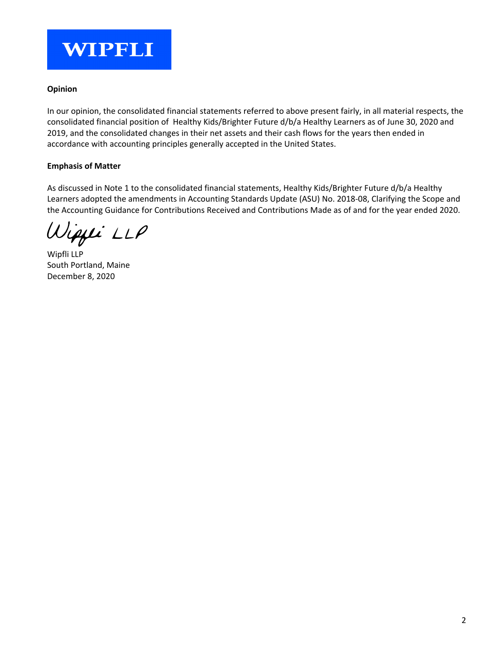

#### **Opinion**

In our opinion, the consolidated financial statements referred to above present fairly, in all material respects, the consolidated financial position of Healthy Kids/Brighter Future d/b/a Healthy Learners as of June 30, 2020 and 2019, and the consolidated changes in their net assets and their cash flows for the years then ended in accordance with accounting principles generally accepted in the United States.

#### **Emphasis of Matter**

As discussed in Note 1 to the consolidated financial statements, Healthy Kids/Brighter Future d/b/a Healthy Learners adopted the amendments in Accounting Standards Update (ASU) No. 2018-08, Clarifying the Scope and the Accounting Guidance for Contributions Received and Contributions Made as of and for the year ended 2020.

ipji LLP

Wipfli LLP South Portland, Maine December 8, 2020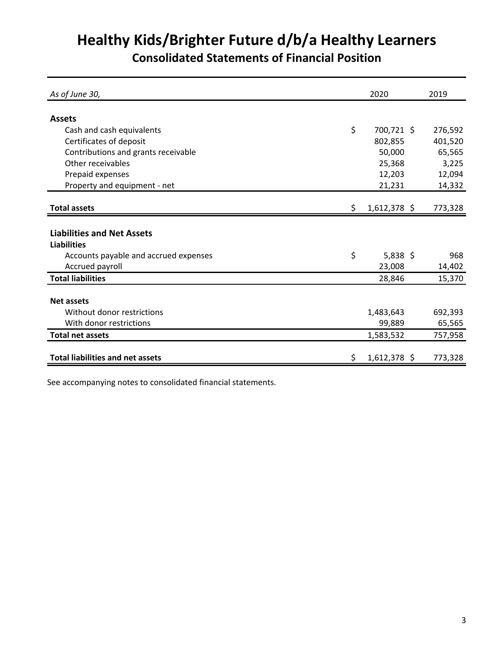# **Healthy Kids/Brighter Future d/b/a Healthy Learners**

**Consolidated Statements of Financial Position**

| As of June 30,                          |     | 2020           | 2019    |
|-----------------------------------------|-----|----------------|---------|
|                                         |     |                |         |
| <b>Assets</b>                           |     |                |         |
| Cash and cash equivalents               | \$  | 700,721 \$     | 276,592 |
| Certificates of deposit                 |     | 802,855        | 401,520 |
| Contributions and grants receivable     |     | 50,000         | 65,565  |
| Other receivables                       |     | 25,368         | 3,225   |
| Prepaid expenses                        |     | 12,203         | 12,094  |
| Property and equipment - net            |     | 21,231         | 14,332  |
|                                         |     |                |         |
| Total assets                            | \$. | $1,612,378$ \$ | 773,328 |
|                                         |     |                |         |
| <b>Liabilities and Net Assets</b>       |     |                |         |
| <b>Liabilities</b>                      |     |                |         |
| Accounts payable and accrued expenses   | \$  | $5,838$ \$     | 968     |
| Accrued payroll                         |     | 23,008         | 14,402  |
| <b>Total liabilities</b>                |     | 28,846         | 15,370  |
|                                         |     |                |         |
| <b>Net assets</b>                       |     |                |         |
| Without donor restrictions              |     | 1,483,643      | 692,393 |
| With donor restrictions                 |     | 99,889         | 65,565  |
| <b>Total net assets</b>                 |     | 1,583,532      | 757,958 |
|                                         |     |                |         |
| <b>Total liabilities and net assets</b> | \$. | 1,612,378 \$   | 773,328 |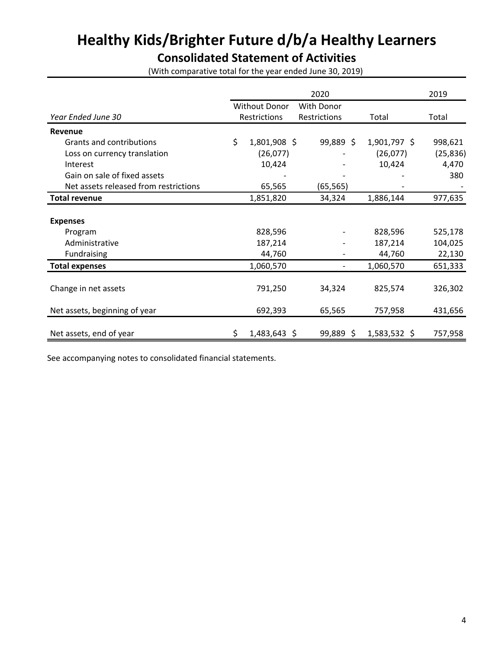# **Healthy Kids/Brighter Future d/b/a Healthy Learners**

# **Consolidated Statement of Activities**

(With comparative total for the year ended June 30, 2019)

|                                       |    |                      | 2020              |                | 2019      |
|---------------------------------------|----|----------------------|-------------------|----------------|-----------|
|                                       |    | <b>Without Donor</b> | <b>With Donor</b> |                |           |
| Year Ended June 30                    |    | Restrictions         | Restrictions      | Total          | Total     |
| Revenue                               |    |                      |                   |                |           |
| Grants and contributions              | \$ | 1,801,908 \$         | 99,889 \$         | 1,901,797 \$   | 998,621   |
| Loss on currency translation          |    | (26,077)             |                   | (26,077)       | (25, 836) |
| Interest                              |    | 10,424               |                   | 10,424         | 4,470     |
| Gain on sale of fixed assets          |    |                      |                   |                | 380       |
| Net assets released from restrictions |    | 65,565               | (65, 565)         |                |           |
| <b>Total revenue</b>                  |    | 1,851,820            | 34,324            | 1,886,144      | 977,635   |
|                                       |    |                      |                   |                |           |
| <b>Expenses</b>                       |    |                      |                   |                |           |
| Program                               |    | 828,596              |                   | 828,596        | 525,178   |
| Administrative                        |    | 187,214              |                   | 187,214        | 104,025   |
| Fundraising                           |    | 44,760               |                   | 44,760         | 22,130    |
| <b>Total expenses</b>                 |    | 1,060,570            |                   | 1,060,570      | 651,333   |
|                                       |    |                      |                   |                |           |
| Change in net assets                  |    | 791,250              | 34,324            | 825,574        | 326,302   |
|                                       |    |                      |                   |                |           |
| Net assets, beginning of year         |    | 692,393              | 65,565            | 757,958        | 431,656   |
|                                       |    |                      |                   |                |           |
| Net assets, end of year               | Ş  | $1,483,643$ \$       | $99,889$ \$       | $1,583,532$ \$ | 757,958   |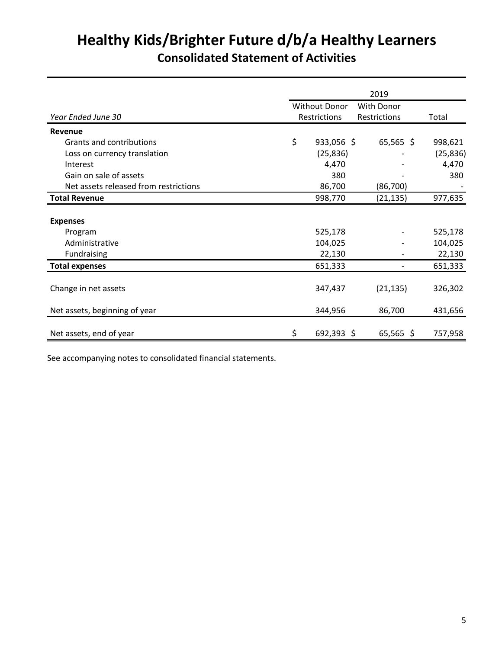# **Healthy Kids/Brighter Future d/b/a Healthy Learners Consolidated Statement of Activities**

|                                       | 2019 |                      |              |           |  |  |  |  |
|---------------------------------------|------|----------------------|--------------|-----------|--|--|--|--|
|                                       |      | <b>Without Donor</b> | With Donor   |           |  |  |  |  |
| Year Ended June 30                    |      | Restrictions         | Restrictions | Total     |  |  |  |  |
| Revenue                               |      |                      |              |           |  |  |  |  |
| Grants and contributions              | \$   | 933,056 \$           | $65,565$ \$  | 998,621   |  |  |  |  |
| Loss on currency translation          |      | (25, 836)            |              | (25, 836) |  |  |  |  |
| Interest                              |      | 4,470                |              | 4,470     |  |  |  |  |
| Gain on sale of assets                |      | 380                  |              | 380       |  |  |  |  |
| Net assets released from restrictions |      | 86,700               | (86, 700)    |           |  |  |  |  |
| <b>Total Revenue</b>                  |      | 998,770              | (21, 135)    | 977,635   |  |  |  |  |
|                                       |      |                      |              |           |  |  |  |  |
| <b>Expenses</b>                       |      |                      |              |           |  |  |  |  |
| Program                               |      | 525,178              |              | 525,178   |  |  |  |  |
| Administrative                        |      | 104,025              |              | 104,025   |  |  |  |  |
| Fundraising                           |      | 22,130               |              | 22,130    |  |  |  |  |
| <b>Total expenses</b>                 |      | 651,333              |              | 651,333   |  |  |  |  |
|                                       |      |                      |              |           |  |  |  |  |
| Change in net assets                  |      | 347,437              | (21, 135)    | 326,302   |  |  |  |  |
|                                       |      |                      |              |           |  |  |  |  |
| Net assets, beginning of year         |      | 344,956              | 86,700       | 431,656   |  |  |  |  |
|                                       |      |                      |              |           |  |  |  |  |
| Net assets, end of year               | \$   | 692,393 \$           | $65,565$ \$  | 757,958   |  |  |  |  |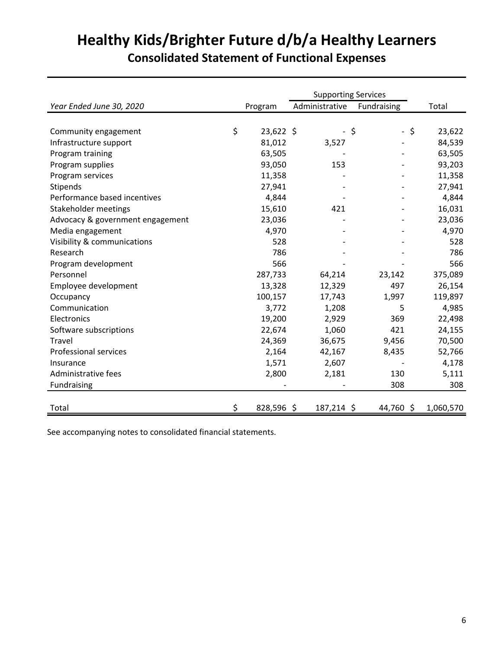# **Healthy Kids/Brighter Future d/b/a Healthy Learners Consolidated Statement of Functional Expenses**

|                                  |                   | <b>Supporting Services</b> |                      |              |
|----------------------------------|-------------------|----------------------------|----------------------|--------------|
| Year Ended June 30, 2020         | Program           | Administrative             | Fundraising          | Total        |
|                                  |                   |                            |                      |              |
| Community engagement             | \$<br>$23,622$ \$ | $\overline{\phantom{a}}$   | \$<br>$\blacksquare$ | \$<br>23,622 |
| Infrastructure support           | 81,012            | 3,527                      |                      | 84,539       |
| Program training                 | 63,505            |                            |                      | 63,505       |
| Program supplies                 | 93,050            | 153                        |                      | 93,203       |
| Program services                 | 11,358            |                            |                      | 11,358       |
| Stipends                         | 27,941            |                            |                      | 27,941       |
| Performance based incentives     | 4,844             |                            |                      | 4,844        |
| Stakeholder meetings             | 15,610            | 421                        |                      | 16,031       |
| Advocacy & government engagement | 23,036            |                            |                      | 23,036       |
| Media engagement                 | 4,970             |                            |                      | 4,970        |
| Visibility & communications      | 528               |                            |                      | 528          |
| Research                         | 786               |                            |                      | 786          |
| Program development              | 566               |                            |                      | 566          |
| Personnel                        | 287,733           | 64,214                     | 23,142               | 375,089      |
| Employee development             | 13,328            | 12,329                     | 497                  | 26,154       |
| Occupancy                        | 100,157           | 17,743                     | 1,997                | 119,897      |
| Communication                    | 3,772             | 1,208                      | 5                    | 4,985        |
| Electronics                      | 19,200            | 2,929                      | 369                  | 22,498       |
| Software subscriptions           | 22,674            | 1,060                      | 421                  | 24,155       |
| Travel                           | 24,369            | 36,675                     | 9,456                | 70,500       |
| <b>Professional services</b>     | 2,164             | 42,167                     | 8,435                | 52,766       |
| Insurance                        | 1,571             | 2,607                      |                      | 4,178        |
| Administrative fees              | 2,800             | 2,181                      | 130                  | 5,111        |
| Fundraising                      |                   |                            | 308                  | 308          |
|                                  |                   |                            |                      |              |
| Total                            | \$<br>828,596\$   | 187,214 \$                 | 44,760 \$            | 1,060,570    |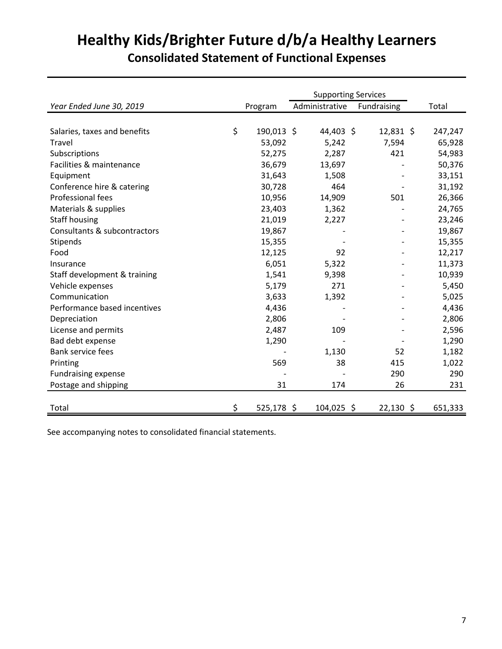# **Healthy Kids/Brighter Future d/b/a Healthy Learners Consolidated Statement of Functional Expenses**

|                              |                  | <b>Supporting Services</b> |             |         |
|------------------------------|------------------|----------------------------|-------------|---------|
| Year Ended June 30, 2019     | Program          | Administrative             | Fundraising | Total   |
|                              |                  |                            |             |         |
| Salaries, taxes and benefits | \$<br>190,013 \$ | 44,403 \$                  | $12,831$ \$ | 247,247 |
| Travel                       | 53,092           | 5,242                      | 7,594       | 65,928  |
| Subscriptions                | 52,275           | 2,287                      | 421         | 54,983  |
| Facilities & maintenance     | 36,679           | 13,697                     |             | 50,376  |
| Equipment                    | 31,643           | 1,508                      |             | 33,151  |
| Conference hire & catering   | 30,728           | 464                        |             | 31,192  |
| Professional fees            | 10,956           | 14,909                     | 501         | 26,366  |
| Materials & supplies         | 23,403           | 1,362                      |             | 24,765  |
| <b>Staff housing</b>         | 21,019           | 2,227                      |             | 23,246  |
| Consultants & subcontractors | 19,867           |                            |             | 19,867  |
| Stipends                     | 15,355           |                            |             | 15,355  |
| Food                         | 12,125           | 92                         |             | 12,217  |
| Insurance                    | 6,051            | 5,322                      |             | 11,373  |
| Staff development & training | 1,541            | 9,398                      |             | 10,939  |
| Vehicle expenses             | 5,179            | 271                        |             | 5,450   |
| Communication                | 3,633            | 1,392                      |             | 5,025   |
| Performance based incentives | 4,436            |                            |             | 4,436   |
| Depreciation                 | 2,806            |                            |             | 2,806   |
| License and permits          | 2,487            | 109                        |             | 2,596   |
| Bad debt expense             | 1,290            |                            |             | 1,290   |
| <b>Bank service fees</b>     |                  | 1,130                      | 52          | 1,182   |
| Printing                     | 569              | 38                         | 415         | 1,022   |
| <b>Fundraising expense</b>   |                  |                            | 290         | 290     |
| Postage and shipping         | 31               | 174                        | 26          | 231     |
|                              |                  |                            |             |         |
| Total                        | \$<br>525,178 \$ | 104,025 \$                 | $22,130$ \$ | 651,333 |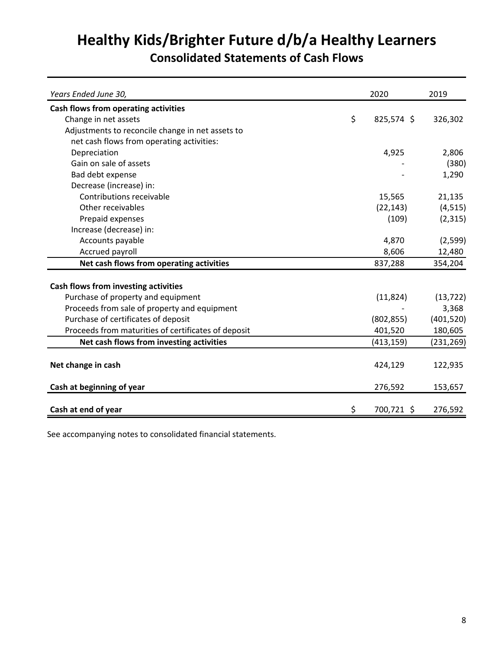# **Healthy Kids/Brighter Future d/b/a Healthy Learners**

# **Consolidated Statements of Cash Flows**

| Years Ended June 30,                                | 2020             | 2019       |
|-----------------------------------------------------|------------------|------------|
| Cash flows from operating activities                |                  |            |
| Change in net assets                                | \$<br>825,574 \$ | 326,302    |
| Adjustments to reconcile change in net assets to    |                  |            |
| net cash flows from operating activities:           |                  |            |
| Depreciation                                        | 4,925            | 2,806      |
| Gain on sale of assets                              |                  | (380)      |
| Bad debt expense                                    |                  | 1,290      |
| Decrease (increase) in:                             |                  |            |
| Contributions receivable                            | 15,565           | 21,135     |
| Other receivables                                   | (22, 143)        | (4, 515)   |
| Prepaid expenses                                    | (109)            | (2, 315)   |
| Increase (decrease) in:                             |                  |            |
| Accounts payable                                    | 4,870            | (2,599)    |
| Accrued payroll                                     | 8,606            | 12,480     |
| Net cash flows from operating activities            | 837,288          | 354,204    |
|                                                     |                  |            |
| Cash flows from investing activities                |                  |            |
| Purchase of property and equipment                  | (11, 824)        | (13, 722)  |
| Proceeds from sale of property and equipment        |                  | 3,368      |
| Purchase of certificates of deposit                 | (802, 855)       | (401, 520) |
| Proceeds from maturities of certificates of deposit | 401,520          | 180,605    |
| Net cash flows from investing activities            | (413, 159)       | (231, 269) |
|                                                     |                  |            |
| Net change in cash                                  | 424,129          | 122,935    |
| Cash at beginning of year                           | 276,592          | 153,657    |
| Cash at end of year                                 | \$<br>700,721 \$ | 276,592    |
|                                                     |                  |            |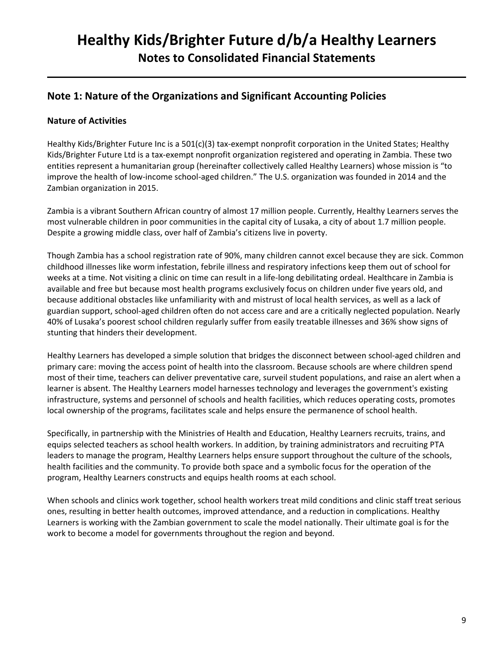## **Note 1: Nature of the Organizations and Significant Accounting Policies**

## **Nature of Activities**

Healthy Kids/Brighter Future Inc is a 501(c)(3) tax-exempt nonprofit corporation in the United States; Healthy Kids/Brighter Future Ltd is a tax-exempt nonprofit organization registered and operating in Zambia. These two entities represent a humanitarian group (hereinafter collectively called Healthy Learners) whose mission is "to improve the health of low-income school-aged children." The U.S. organization was founded in 2014 and the Zambian organization in 2015.

Zambia is a vibrant Southern African country of almost 17 million people. Currently, Healthy Learners serves the most vulnerable children in poor communities in the capital city of Lusaka, a city of about 1.7 million people. Despite a growing middle class, over half of Zambia's citizens live in poverty.

Though Zambia has a school registration rate of 90%, many children cannot excel because they are sick. Common childhood illnesses like worm infestation, febrile illness and respiratory infections keep them out of school for weeks at a time. Not visiting a clinic on time can result in a life-long debilitating ordeal. Healthcare in Zambia is available and free but because most health programs exclusively focus on children under five years old, and because additional obstacles like unfamiliarity with and mistrust of local health services, as well as a lack of guardian support, school-aged children often do not access care and are a critically neglected population. Nearly 40% of Lusaka's poorest school children regularly suffer from easily treatable illnesses and 36% show signs of stunting that hinders their development.

Healthy Learners has developed a simple solution that bridges the disconnect between school-aged children and primary care: moving the access point of health into the classroom. Because schools are where children spend most of their time, teachers can deliver preventative care, surveil student populations, and raise an alert when a learner is absent. The Healthy Learners model harnesses technology and leverages the government's existing infrastructure, systems and personnel of schools and health facilities, which reduces operating costs, promotes local ownership of the programs, facilitates scale and helps ensure the permanence of school health.

Specifically, in partnership with the Ministries of Health and Education, Healthy Learners recruits, trains, and equips selected teachers as school health workers. In addition, by training administrators and recruiting PTA leaders to manage the program, Healthy Learners helps ensure support throughout the culture of the schools, health facilities and the community. To provide both space and a symbolic focus for the operation of the program, Healthy Learners constructs and equips health rooms at each school.

When schools and clinics work together, school health workers treat mild conditions and clinic staff treat serious ones, resulting in better health outcomes, improved attendance, and a reduction in complications. Healthy Learners is working with the Zambian government to scale the model nationally. Their ultimate goal is for the work to become a model for governments throughout the region and beyond.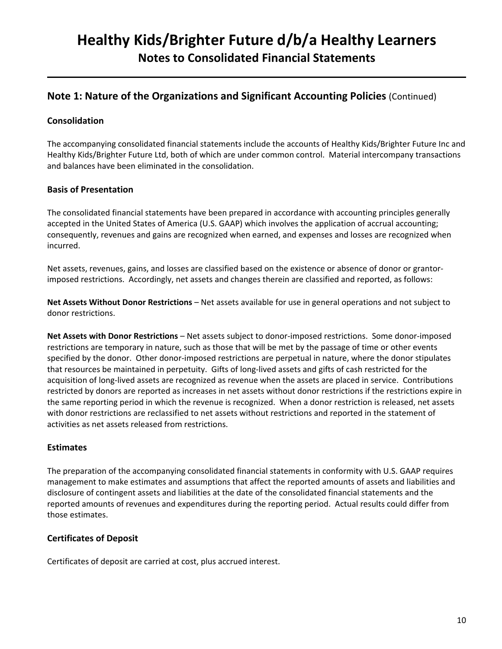## **Note 1: Nature of the Organizations and Significant Accounting Policies** (Continued)

## **Consolidation**

The accompanying consolidated financial statements include the accounts of Healthy Kids/Brighter Future Inc and Healthy Kids/Brighter Future Ltd, both of which are under common control. Material intercompany transactions and balances have been eliminated in the consolidation.

## **Basis of Presentation**

The consolidated financial statements have been prepared in accordance with accounting principles generally accepted in the United States of America (U.S. GAAP) which involves the application of accrual accounting; consequently, revenues and gains are recognized when earned, and expenses and losses are recognized when incurred.

Net assets, revenues, gains, and losses are classified based on the existence or absence of donor or grantorimposed restrictions. Accordingly, net assets and changes therein are classified and reported, as follows:

**Net Assets Without Donor Restrictions** – Net assets available for use in general operations and not subject to donor restrictions.

**Net Assets with Donor Restrictions** – Net assets subject to donor-imposed restrictions. Some donor-imposed restrictions are temporary in nature, such as those that will be met by the passage of time or other events specified by the donor. Other donor-imposed restrictions are perpetual in nature, where the donor stipulates that resources be maintained in perpetuity. Gifts of long-lived assets and gifts of cash restricted for the acquisition of long-lived assets are recognized as revenue when the assets are placed in service. Contributions restricted by donors are reported as increases in net assets without donor restrictions if the restrictions expire in the same reporting period in which the revenue is recognized. When a donor restriction is released, net assets with donor restrictions are reclassified to net assets without restrictions and reported in the statement of activities as net assets released from restrictions.

## **Estimates**

The preparation of the accompanying consolidated financial statements in conformity with U.S. GAAP requires management to make estimates and assumptions that affect the reported amounts of assets and liabilities and disclosure of contingent assets and liabilities at the date of the consolidated financial statements and the reported amounts of revenues and expenditures during the reporting period. Actual results could differ from those estimates.

## **Certificates of Deposit**

Certificates of deposit are carried at cost, plus accrued interest.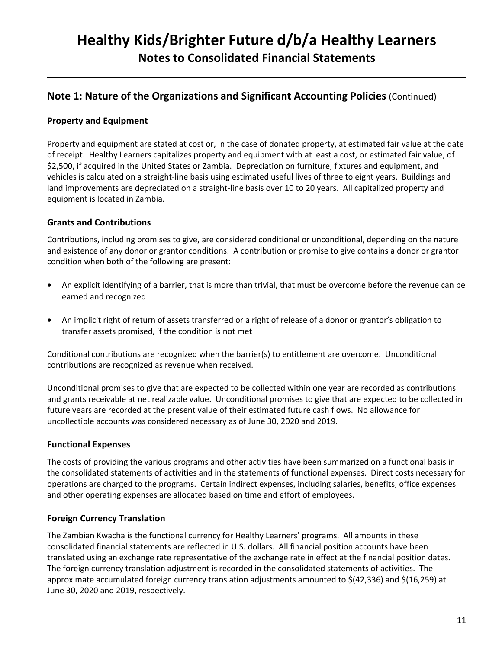## **Note 1: Nature of the Organizations and Significant Accounting Policies** (Continued)

## **Property and Equipment**

Property and equipment are stated at cost or, in the case of donated property, at estimated fair value at the date of receipt. Healthy Learners capitalizes property and equipment with at least a cost, or estimated fair value, of \$2,500, if acquired in the United States or Zambia. Depreciation on furniture, fixtures and equipment, and vehicles is calculated on a straight-line basis using estimated useful lives of three to eight years. Buildings and land improvements are depreciated on a straight-line basis over 10 to 20 years. All capitalized property and equipment is located in Zambia.

#### **Grants and Contributions**

Contributions, including promises to give, are considered conditional or unconditional, depending on the nature and existence of any donor or grantor conditions. A contribution or promise to give contains a donor or grantor condition when both of the following are present:

- An explicit identifying of a barrier, that is more than trivial, that must be overcome before the revenue can be earned and recognized
- An implicit right of return of assets transferred or a right of release of a donor or grantor's obligation to transfer assets promised, if the condition is not met

Conditional contributions are recognized when the barrier(s) to entitlement are overcome. Unconditional contributions are recognized as revenue when received.

Unconditional promises to give that are expected to be collected within one year are recorded as contributions and grants receivable at net realizable value. Unconditional promises to give that are expected to be collected in future years are recorded at the present value of their estimated future cash flows. No allowance for uncollectible accounts was considered necessary as of June 30, 2020 and 2019.

#### **Functional Expenses**

The costs of providing the various programs and other activities have been summarized on a functional basis in the consolidated statements of activities and in the statements of functional expenses. Direct costs necessary for operations are charged to the programs. Certain indirect expenses, including salaries, benefits, office expenses and other operating expenses are allocated based on time and effort of employees.

#### **Foreign Currency Translation**

The Zambian Kwacha is the functional currency for Healthy Learners' programs. All amounts in these consolidated financial statements are reflected in U.S. dollars. All financial position accounts have been translated using an exchange rate representative of the exchange rate in effect at the financial position dates. The foreign currency translation adjustment is recorded in the consolidated statements of activities. The approximate accumulated foreign currency translation adjustments amounted to \$(42,336) and \$(16,259) at June 30, 2020 and 2019, respectively.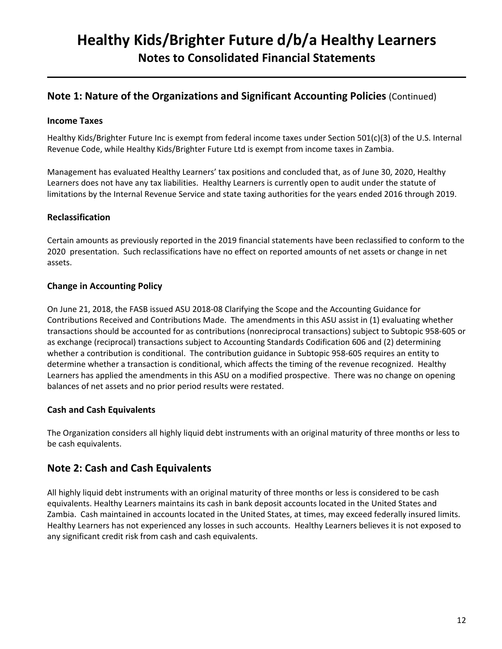## **Note 1: Nature of the Organizations and Significant Accounting Policies** (Continued)

#### **Income Taxes**

Healthy Kids/Brighter Future Inc is exempt from federal income taxes under Section 501(c)(3) of the U.S. Internal Revenue Code, while Healthy Kids/Brighter Future Ltd is exempt from income taxes in Zambia.

Management has evaluated Healthy Learners' tax positions and concluded that, as of June 30, 2020, Healthy Learners does not have any tax liabilities. Healthy Learners is currently open to audit under the statute of limitations by the Internal Revenue Service and state taxing authorities for the years ended 2016 through 2019.

#### **Reclassification**

Certain amounts as previously reported in the 2019 financial statements have been reclassified to conform to the 2020 presentation. Such reclassifications have no effect on reported amounts of net assets or change in net assets.

## **Change in Accounting Policy**

On June 21, 2018, the FASB issued ASU 2018-08 Clarifying the Scope and the Accounting Guidance for Contributions Received and Contributions Made. The amendments in this ASU assist in (1) evaluating whether transactions should be accounted for as contributions (nonreciprocal transactions) subject to Subtopic 958-605 or as exchange (reciprocal) transactions subject to Accounting Standards Codification 606 and (2) determining whether a contribution is conditional. The contribution guidance in Subtopic 958-605 requires an entity to determine whether a transaction is conditional, which affects the timing of the revenue recognized. Healthy Learners has applied the amendments in this ASU on a modified prospective. There was no change on opening balances of net assets and no prior period results were restated.

## **Cash and Cash Equivalents**

The Organization considers all highly liquid debt instruments with an original maturity of three months or less to be cash equivalents.

## **Note 2: Cash and Cash Equivalents**

All highly liquid debt instruments with an original maturity of three months or less is considered to be cash equivalents. Healthy Learners maintains its cash in bank deposit accounts located in the United States and Zambia. Cash maintained in accounts located in the United States, at times, may exceed federally insured limits. Healthy Learners has not experienced any losses in such accounts. Healthy Learners believes it is not exposed to any significant credit risk from cash and cash equivalents.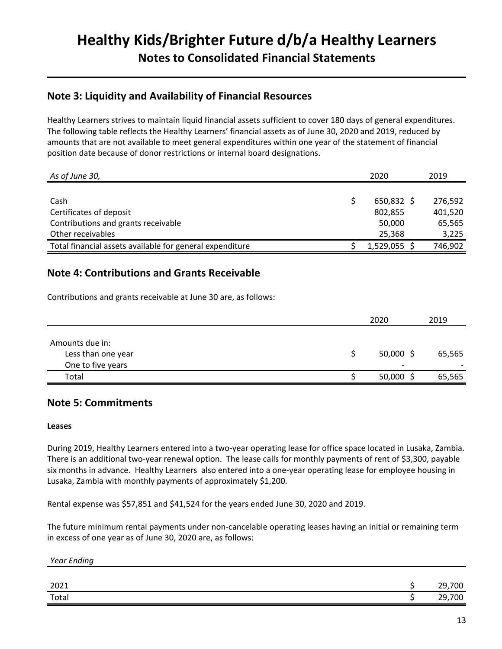## **Note 3: Liquidity and Availability of Financial Resources**

Healthy Learners strives to maintain liquid financial assets sufficient to cover 180 days of general expenditures. The following table reflects the Healthy Learners' financial assets as of June 30, 2020 and 2019, reduced by amounts that are not available to meet general expenditures within one year of the statement of financial position date because of donor restrictions or internal board designations.

| As of June 30,                                           | 2020         | 2019    |
|----------------------------------------------------------|--------------|---------|
|                                                          |              |         |
| Cash                                                     | $650,832$ \$ | 276,592 |
| Certificates of deposit                                  | 802,855      | 401,520 |
| Contributions and grants receivable                      | 50,000       | 65,565  |
| Other receivables                                        | 25,368       | 3,225   |
| Total financial assets available for general expenditure | 1,529,055    | 746,902 |

## **Note 4: Contributions and Grants Receivable**

Contributions and grants receivable at June 30 are, as follows:

|                    | 2020                     | 2019   |
|--------------------|--------------------------|--------|
|                    |                          |        |
| Amounts due in:    |                          |        |
| Less than one year | $50,000$ \$              | 65,565 |
| One to five years  | $\overline{\phantom{0}}$ |        |
| Total              | 50,000                   | 65,565 |

## **Note 5: Commitments**

#### **Leases**

During 2019, Healthy Learners entered into a two-year operating lease for office space located in Lusaka, Zambia. There is an additional two-year renewal option. The lease calls for monthly payments of rent of \$3,300, payable six months in advance. Healthy Learners also entered into a one-year operating lease for employee housing in Lusaka, Zambia with monthly payments of approximately \$1,200.

Rental expense was \$57,851 and \$41,524 for the years ended June 30, 2020 and 2019.

The future minimum rental payments under non-cancelable operating leases having an initial or remaining term in excess of one year as of June 30, 2020 are, as follows:

| Year Ending   |        |
|---------------|--------|
|               |        |
| 2021          | 29,700 |
| Total<br>____ | 29,700 |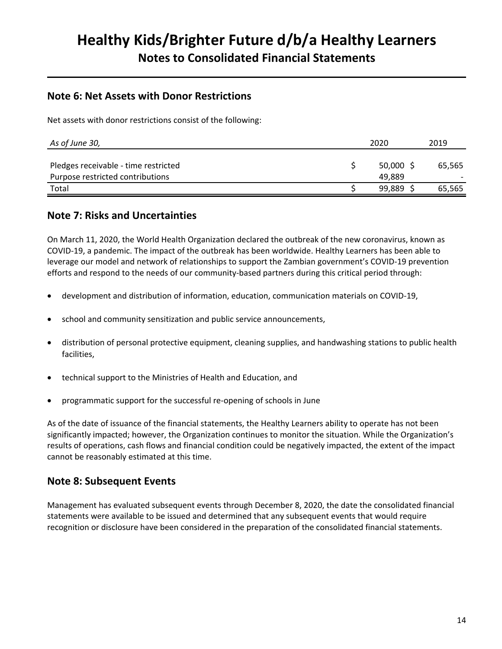## **Note 6: Net Assets with Donor Restrictions**

Net assets with donor restrictions consist of the following:

| As of June 30,                                                           | 2020             | 2019   |
|--------------------------------------------------------------------------|------------------|--------|
| Pledges receivable - time restricted<br>Purpose restricted contributions | 50.000<br>49.889 | 65,565 |
| Total                                                                    | 99,889           | 65,565 |

## **Note 7: Risks and Uncertainties**

On March 11, 2020, the World Health Organization declared the outbreak of the new coronavirus, known as COVID-19, a pandemic. The impact of the outbreak has been worldwide. Healthy Learners has been able to leverage our model and network of relationships to support the Zambian government's COVID-19 prevention efforts and respond to the needs of our community-based partners during this critical period through:

- development and distribution of information, education, communication materials on COVID-19,
- school and community sensitization and public service announcements,
- distribution of personal protective equipment, cleaning supplies, and handwashing stations to public health facilities,
- technical support to the Ministries of Health and Education, and
- programmatic support for the successful re-opening of schools in June

As of the date of issuance of the financial statements, the Healthy Learners ability to operate has not been significantly impacted; however, the Organization continues to monitor the situation. While the Organization's results of operations, cash flows and financial condition could be negatively impacted, the extent of the impact cannot be reasonably estimated at this time.

## **Note 8: Subsequent Events**

Management has evaluated subsequent events through December 8, 2020, the date the consolidated financial statements were available to be issued and determined that any subsequent events that would require recognition or disclosure have been considered in the preparation of the consolidated financial statements.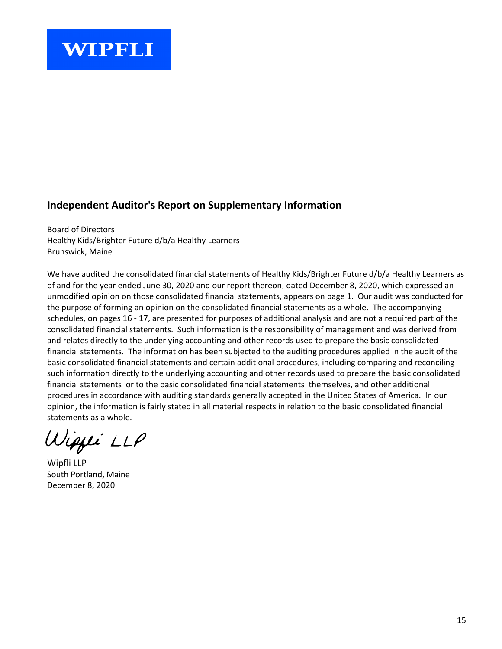## **Independent Auditor's Report on Supplementary Information**

Board of Directors Healthy Kids/Brighter Future d/b/a Healthy Learners Brunswick, Maine

We have audited the consolidated financial statements of Healthy Kids/Brighter Future d/b/a Healthy Learners as of and for the year ended June 30, 2020 and our report thereon, dated December 8, 2020, which expressed an unmodified opinion on those consolidated financial statements, appears on page 1. Our audit was conducted for the purpose of forming an opinion on the consolidated financial statements as a whole. The accompanying schedules, on pages 16 - 17, are presented for purposes of additional analysis and are not a required part of the consolidated financial statements. Such information is the responsibility of management and was derived from and relates directly to the underlying accounting and other records used to prepare the basic consolidated financial statements. The information has been subjected to the auditing procedures applied in the audit of the basic consolidated financial statements and certain additional procedures, including comparing and reconciling such information directly to the underlying accounting and other records used to prepare the basic consolidated financial statements or to the basic consolidated financial statements themselves, and other additional procedures in accordance with auditing standards generally accepted in the United States of America. In our opinion, the information is fairly stated in all material respects in relation to the basic consolidated financial statements as a whole.

Wiqyi LLP

Wipfli LLP South Portland, Maine December 8, 2020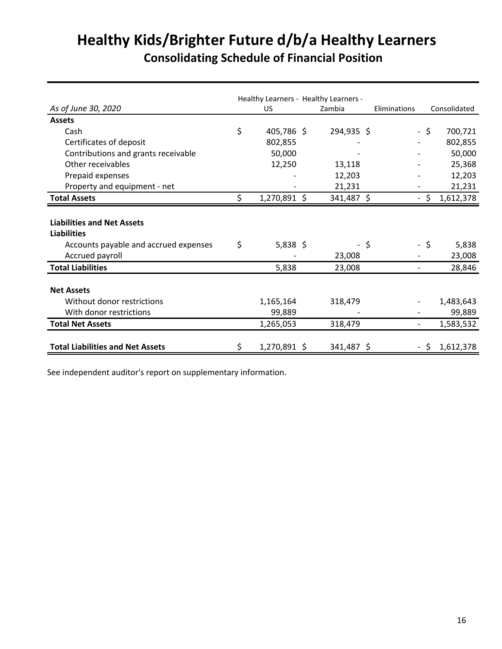# **Healthy Kids/Brighter Future d/b/a Healthy Learners Consolidating Schedule of Financial Position**

|                                         |    |              | Healthy Learners - Healthy Learners - |     |                          |      |              |
|-----------------------------------------|----|--------------|---------------------------------------|-----|--------------------------|------|--------------|
| As of June 30, 2020                     |    | US.          | Zambia                                |     | Eliminations             |      | Consolidated |
| <b>Assets</b>                           |    |              |                                       |     |                          |      |              |
| Cash                                    | \$ | 405,786 \$   | 294,935 \$                            |     |                          | -\$  | 700,721      |
| Certificates of deposit                 |    | 802,855      |                                       |     |                          |      | 802,855      |
| Contributions and grants receivable     |    | 50,000       |                                       |     |                          |      | 50,000       |
| Other receivables                       |    | 12,250       | 13,118                                |     |                          |      | 25,368       |
| Prepaid expenses                        |    |              | 12,203                                |     |                          |      | 12,203       |
| Property and equipment - net            |    |              | 21,231                                |     |                          |      | 21,231       |
| <b>Total Assets</b>                     |    | 1,270,891 \$ | 341,487 \$                            |     |                          | S    | 1,612,378    |
|                                         |    |              |                                       |     |                          |      |              |
| <b>Liabilities and Net Assets</b>       |    |              |                                       |     |                          |      |              |
| <b>Liabilities</b>                      |    |              |                                       |     |                          |      |              |
| Accounts payable and accrued expenses   | \$ | $5,838$ \$   |                                       | -\$ |                          | - \$ | 5,838        |
| Accrued payroll                         |    |              | 23,008                                |     |                          |      | 23,008       |
| <b>Total Liabilities</b>                |    | 5,838        | 23,008                                |     | $\overline{\phantom{a}}$ |      | 28,846       |
|                                         |    |              |                                       |     |                          |      |              |
| <b>Net Assets</b>                       |    |              |                                       |     |                          |      |              |
| Without donor restrictions              |    | 1,165,164    | 318,479                               |     |                          |      | 1,483,643    |
| With donor restrictions                 |    | 99,889       |                                       |     |                          |      | 99,889       |
| <b>Total Net Assets</b>                 |    | 1,265,053    | 318,479                               |     | $\overline{\phantom{a}}$ |      | 1,583,532    |
|                                         |    |              |                                       |     |                          |      |              |
| <b>Total Liabilities and Net Assets</b> | S  | 1,270,891 \$ | 341,487 \$                            |     |                          | - S  | 1,612,378    |

See independent auditor's report on supplementary information.